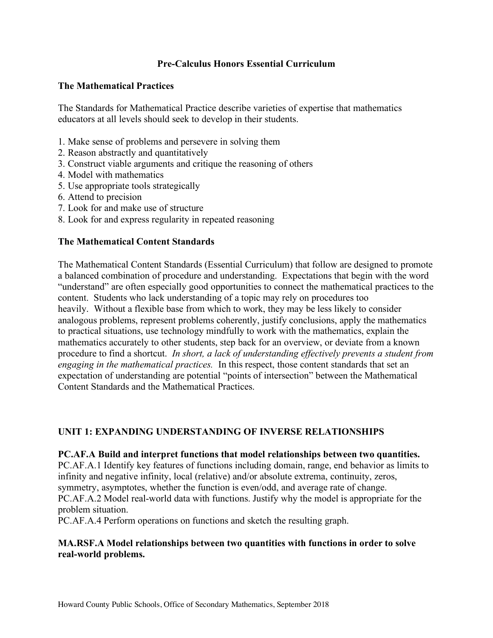# **Pre-Calculus Honors Essential Curriculum**

### **The Mathematical Practices**

 The Standards for Mathematical Practice describe varieties of expertise that mathematics educators at all levels should seek to develop in their students.

- 1. Make sense of problems and persevere in solving them
- 2. Reason abstractly and quantitatively
- 3. Construct viable arguments and critique the reasoning of others
- 4. Model with mathematics
- 5. Use appropriate tools strategically
- 6. Attend to precision
- 7. Look for and make use of structure
- 8. Look for and express regularity in repeated reasoning

#### **The Mathematical Content Standards**

 The Mathematical Content Standards (Essential Curriculum) that follow are designed to promote a balanced combination of procedure and understanding. Expectations that begin with the word "understand" are often especially good opportunities to connect the mathematical practices to the content. Students who lack understanding of a topic may rely on procedures too heavily. Without a flexible base from which to work, they may be less likely to consider analogous problems, represent problems coherently, justify conclusions, apply the mathematics to practical situations, use technology mindfully to work with the mathematics, explain the mathematics accurately to other students, step back for an overview, or deviate from a known procedure to find a shortcut. *In short, a lack of understanding effectively prevents a student from engaging in the mathematical practices.* In this respect, those content standards that set an expectation of understanding are potential "points of intersection" between the Mathematical Content Standards and the Mathematical Practices.

# **UNIT 1: EXPANDING UNDERSTANDING OF INVERSE RELATIONSHIPS**

#### **PC.AF.A Build and interpret functions that model relationships between two quantities.**

 PC.AF.A.1 Identify key features of functions including domain, range, end behavior as limits to infinity and negative infinity, local (relative) and/or absolute extrema, continuity, zeros, symmetry, asymptotes, whether the function is even/odd, and average rate of change. PC.AF.A.2 Model real-world data with functions. Justify why the model is appropriate for the problem situation.

PC.AF.A.4 Perform operations on functions and sketch the resulting graph.

# **MA.RSF.A Model relationships between two quantities with functions in order to solve real-world problems.**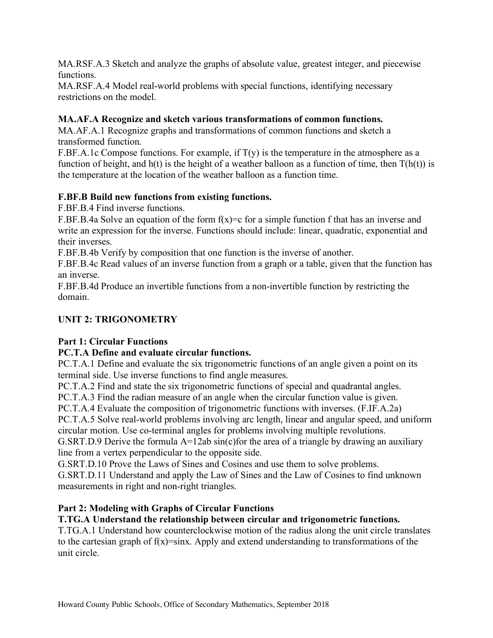MA.RSF.A.3 Sketch and analyze the graphs of absolute value, greatest integer, and piecewise functions.

 MA.RSF.A.4 Model real-world problems with special functions, identifying necessary restrictions on the model.

# **MA.AF.A Recognize and sketch various transformations of common functions.**

 MA.AF.A.1 Recognize graphs and transformations of common functions and sketch a transformed function.

[F.BF.A.1c](https://F.BF.A.1c) Compose functions. For example, if  $T(y)$  is the temperature in the atmosphere as a function of height, and  $h(t)$  is the height of a weather balloon as a function of time, then  $T(h(t))$  is the temperature at the location of the weather balloon as a function time.

# **F.BF.B Build new functions from existing functions.**

F.BF.B.4 Find inverse functions.

[F.BF.B.4a](https://F.BF.B.4a) Solve an equation of the form  $f(x)=c$  for a simple function f that has an inverse and write an expression for the inverse. Functions should include: linear, quadratic, exponential and their inverses.

[F.BF.B.4b](https://F.BF.B.4b) Verify by composition that one function is the inverse of another.

 [F.BF.B.4c](https://F.BF.B.4c) Read values of an inverse function from a graph or a table, given that the function has an inverse.

 [F.BF.B.4d](https://F.BF.B.4d) Produce an invertible functions from a non-invertible function by restricting the domain.

# **UNIT 2: TRIGONOMETRY**

# **Part 1: Circular Functions**

# **PC.T.A Define and evaluate circular functions.**

 PC.T.A.1 Define and evaluate the six trigonometric functions of an angle given a point on its terminal side. Use inverse functions to find angle measures.

PC.T.A.2 Find and state the six trigonometric functions of special and quadrantal angles.

PC.T.A.3 Find the radian measure of an angle when the circular function value is given.

PC.T.A.4 Evaluate the composition of trigonometric functions with inverses. ([F.IF.A.2a\)](https://F.IF.A.2a)

 PC.T.A.5 Solve real-world problems involving arc length, linear and angular speed, and uniform circular motion. Use co-terminal angles for problems involving multiple revolutions.

 G.SRT.D.9 Derive the formula A=12ab sin(c)for the area of a triangle by drawing an auxiliary line from a vertex perpendicular to the opposite side.

[G.SRT.D.10](https://G.SRT.D.10) Prove the Laws of Sines and Cosines and use them to solve problems.

 [G.SRT.D.11](https://G.SRT.D.11) Understand and apply the Law of Sines and the Law of Cosines to find unknown measurements in right and non-right triangles.

# **Part 2: Modeling with Graphs of Circular Functions**

# **T.TG.A Understand the relationship between circular and trigonometric functions.**

 T.TG.A.1 Understand how counterclockwise motion of the radius along the unit circle translates to the cartesian graph of  $f(x)$ =sinx. Apply and extend understanding to transformations of the unit circle.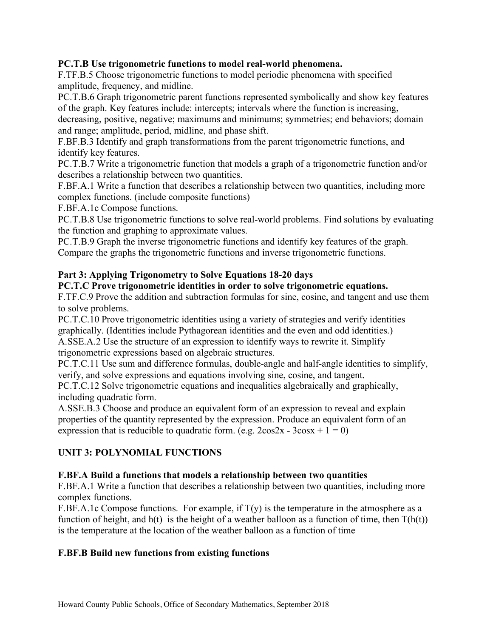### **PC.T.B Use trigonometric functions to model real-world phenomena.**

 F.TF.B.5 Choose trigonometric functions to model periodic phenomena with specified amplitude, frequency, and midline.

 PC.T.B.6 Graph trigonometric parent functions represented symbolically and show key features of the graph. Key features include: intercepts; intervals where the function is increasing,

 decreasing, positive, negative; maximums and minimums; symmetries; end behaviors; domain and range; amplitude, period, midline, and phase shift.

 F.BF.B.3 Identify and graph transformations from the parent trigonometric functions, and identify key features.

 PC.T.B.7 Write a trigonometric function that models a graph of a trigonometric function and/or describes a relationship between two quantities.

 F.BF.A.1 Write a function that describes a relationship between two quantities, including more complex functions. (include composite functions)

[F.BF.A.1c](https://F.BF.A.1c) Compose functions.

 PC.T.B.8 Use trigonometric functions to solve real-world problems. Find solutions by evaluating the function and graphing to approximate values.

 PC.T.B.9 Graph the inverse trigonometric functions and identify key features of the graph. Compare the graphs the trigonometric functions and inverse trigonometric functions.

# **Part 3: Applying Trigonometry to Solve Equations 18-20 days**

#### **PC.T.C Prove trigonometric identities in order to solve trigonometric equations.**

 F.TF.C.9 Prove the addition and subtraction formulas for sine, cosine, and tangent and use them to solve problems.

 [PC.T.C.10](https://PC.T.C.10) Prove trigonometric identities using a variety of strategies and verify identities graphically. (Identities include Pythagorean identities and the even and odd identities.) A.SSE.A.2 Use the structure of an expression to identify ways to rewrite it. Simplify trigonometric expressions based on algebraic structures.

[PC.T.C.11](https://PC.T.C.11) Use sum and difference formulas, double-angle and half-angle identities to simplify, verify, and solve expressions and equations involving sine, cosine, and tangent.

 [PC.T.C.12](https://PC.T.C.12) Solve trigonometric equations and inequalities algebraically and graphically, including quadratic form.

 A.SSE.B.3 Choose and produce an equivalent form of an expression to reveal and explain properties of the quantity represented by the expression. Produce an equivalent form of an expression that is reducible to quadratic form. (e.g.  $2\cos 2x - 3\cos x + 1 = 0$ )

# **UNIT 3: POLYNOMIAL FUNCTIONS**

# **F.BF.A Build a functions that models a relationship between two quantities**

 F.BF.A.1 Write a function that describes a relationship between two quantities, including more complex functions.

[F.BF.A.1c](https://F.BF.A.1c) Compose functions. For example, if  $T(y)$  is the temperature in the atmosphere as a function of height, and  $h(t)$  is the height of a weather balloon as a function of time, then  $T(h(t))$ is the temperature at the location of the weather balloon as a function of time

# **F.BF.B Build new functions from existing functions**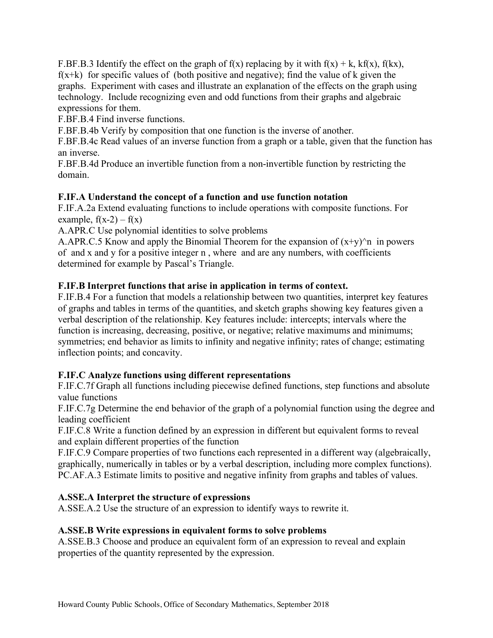F.BF.B.3 Identify the effect on the graph of  $f(x)$  replacing by it with  $f(x) + k$ ,  $kf(x)$ ,  $f(kx)$ ,  $f(x+k)$  for specific values of (both positive and negative); find the value of k given the graphs. Experiment with cases and illustrate an explanation of the effects on the graph using technology. Include recognizing even and odd functions from their graphs and algebraic expressions for them.

F.BF.B.4 Find inverse functions.

[F.BF.B.4b](https://F.BF.B.4b) Verify by composition that one function is the inverse of another.

 [F.BF.B.4c](https://F.BF.B.4c) Read values of an inverse function from a graph or a table, given that the function has an inverse.

 [F.BF.B.4d](https://F.BF.B.4d) Produce an invertible function from a non-invertible function by restricting the domain.

# **F.IF.A Understand the concept of a function and use function notation**

 [F.IF.A.2a](https://F.IF.A.2a) Extend evaluating functions to include operations with composite functions. For example,  $f(x-2) - f(x)$ 

A.APR.C Use polynomial identities to solve problems

A.APR.C.5 Know and apply the Binomial Theorem for the expansion of  $(x+y)$ <sup>n</sup> in powers of and x and y for a positive integer n , where and are any numbers, with coefficients determined for example by Pascal's Triangle.

# **F.IF.B Interpret functions that arise in application in terms of context.**

 F.IF.B.4 For a function that models a relationship between two quantities, interpret key features of graphs and tables in terms of the quantities, and sketch graphs showing key features given a verbal description of the relationship. Key features include: intercepts; intervals where the function is increasing, decreasing, positive, or negative; relative maximums and minimums; symmetries; end behavior as limits to infinity and negative infinity; rates of change; estimating inflection points; and concavity.

# **F.IF.C Analyze functions using different representations**

 [F.IF.C.7f](https://F.IF.C.7f) Graph all functions including piecewise defined functions, step functions and absolute value functions

 [F.IF.C.7g](https://F.IF.C.7g) Determine the end behavior of the graph of a polynomial function using the degree and leading coefficient

 F.IF.C.8 Write a function defined by an expression in different but equivalent forms to reveal and explain different properties of the function

 F.IF.C.9 Compare properties of two functions each represented in a different way (algebraically, graphically, numerically in tables or by a verbal description, including more complex functions). PC.AF.A.3 Estimate limits to positive and negative infinity from graphs and tables of values.

# **A.SSE.A Interpret the structure of expressions**

A.SSE.A.2 Use the structure of an expression to identify ways to rewrite it.

# **A.SSE.B Write expressions in equivalent forms to solve problems**

 A.SSE.B.3 Choose and produce an equivalent form of an expression to reveal and explain properties of the quantity represented by the expression.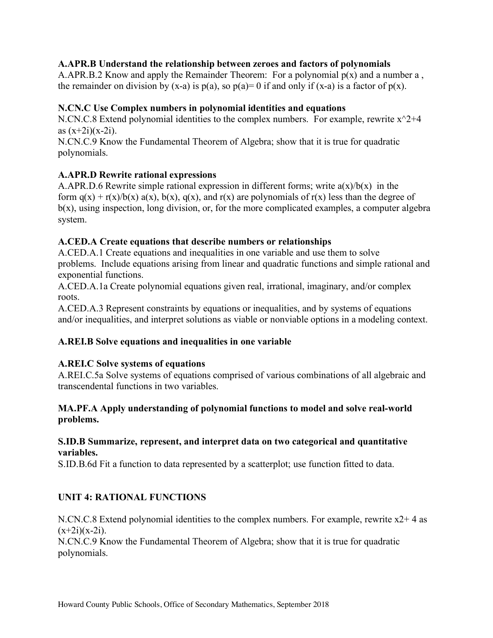# **A.APR.B Understand the relationship between zeroes and factors of polynomials**

A.APR.B.2 Know and apply the Remainder Theorem: For a polynomial  $p(x)$  and a number a, the remainder on division by (x-a) is  $p(a)$ , so  $p(a)=0$  if and only if (x-a) is a factor of  $p(x)$ .

# **N.CN.C Use Complex numbers in polynomial identities and equations**

N.CN.C.8 Extend polynomial identities to the complex numbers. For example, rewrite  $x^2+4$ as (x+2i)(x-2i).

 N.CN.C.9 Know the Fundamental Theorem of Algebra; show that it is true for quadratic polynomials.

# **A.APR.D Rewrite rational expressions**

A.APR.D.6 Rewrite simple rational expression in different forms; write  $a(x)/b(x)$  in the form  $q(x) + r(x)/b(x) a(x)$ ,  $b(x)$ ,  $q(x)$ , and  $r(x)$  are polynomials of  $r(x)$  less than the degree of b(x), using inspection, long division, or, for the more complicated examples, a computer algebra system.

# **A.CED.A Create equations that describe numbers or relationships**

 A.CED.A.1 Create equations and inequalities in one variable and use them to solve problems. Include equations arising from linear and quadratic functions and simple rational and exponential functions.

 [A.CED.A.1a](https://A.CED.A.1a) Create polynomial equations given real, irrational, imaginary, and/or complex roots.

 A.CED.A.3 Represent constraints by equations or inequalities, and by systems of equations and/or inequalities, and interpret solutions as viable or nonviable options in a modeling context.

# **A.REI.B Solve equations and inequalities in one variable**

# **A.REI.C Solve systems of equations**

 [A.REI.C.5a](https://A.REI.C.5a) Solve systems of equations comprised of various combinations of all algebraic and transcendental functions in two variables.

# **MA.PF.A Apply understanding of polynomial functions to model and solve real-world problems.**

#### **S.ID.B Summarize, represent, and interpret data on two categorical and quantitative variables.**

[S.ID.B.6d](https://S.ID.B.6d) Fit a function to data represented by a scatterplot; use function fitted to data.

# **UNIT 4: RATIONAL FUNCTIONS**

 N.CN.C.8 Extend polynomial identities to the complex numbers. For example, rewrite x2+ 4 as  $(x+2i)(x-2i)$ .

 N.CN.C.9 Know the Fundamental Theorem of Algebra; show that it is true for quadratic polynomials.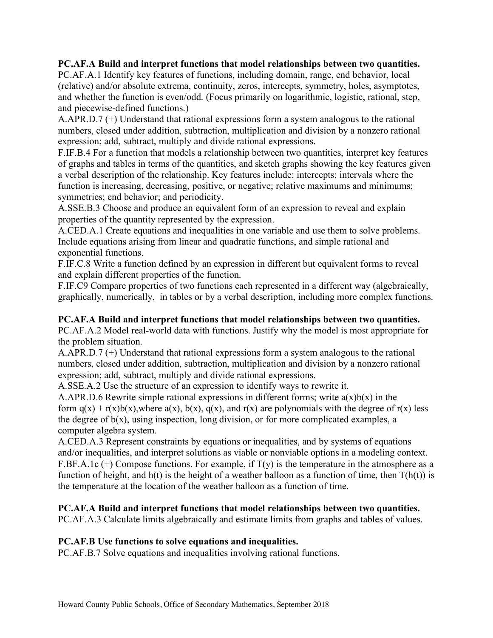#### **PC.AF.A Build and interpret functions that model relationships between two quantities.**

 PC.AF.A.1 Identify key features of functions, including domain, range, end behavior, local (relative) and/or absolute extrema, continuity, zeros, intercepts, symmetry, holes, asymptotes, and whether the function is even/odd. (Focus primarily on logarithmic, logistic, rational, step, and piecewise-defined functions.)

 A.APR.D.7 (+) Understand that rational expressions form a system analogous to the rational numbers, closed under addition, subtraction, multiplication and division by a nonzero rational expression; add, subtract, multiply and divide rational expressions.

 F.IF.B.4 For a function that models a relationship between two quantities, interpret key features of graphs and tables in terms of the quantities, and sketch graphs showing the key features given a verbal description of the relationship. Key features include: intercepts; intervals where the function is increasing, decreasing, positive, or negative; relative maximums and minimums; symmetries; end behavior; and periodicity.

 A.SSE.B.3 Choose and produce an equivalent form of an expression to reveal and explain properties of the quantity represented by the expression.

 A.CED.A.1 Create equations and inequalities in one variable and use them to solve problems. Include equations arising from linear and quadratic functions, and simple rational and exponential functions.

 F.IF.C.8 Write a function defined by an expression in different but equivalent forms to reveal and explain different properties of the function.

 F.IF.C9 Compare properties of two functions each represented in a different way (algebraically, graphically, numerically, in tables or by a verbal description, including more complex functions.

### **PC.AF.A Build and interpret functions that model relationships between two quantities.**

 PC.AF.A.2 Model real-world data with functions. Justify why the model is most appropriate for the problem situation.

 A.APR.D.7 (+) Understand that rational expressions form a system analogous to the rational numbers, closed under addition, subtraction, multiplication and division by a nonzero rational expression; add, subtract, multiply and divide rational expressions.

A.SSE.A.2 Use the structure of an expression to identify ways to rewrite it.

A.APR.D.6 Rewrite simple rational expressions in different forms; write  $a(x)b(x)$  in the form  $q(x) + r(x)b(x)$ , where  $a(x)$ ,  $b(x)$ ,  $q(x)$ , and  $r(x)$  are polynomials with the degree of  $r(x)$  less the degree of  $b(x)$ , using inspection, long division, or for more complicated examples, a computer algebra system.

 A.CED.A.3 Represent constraints by equations or inequalities, and by systems of equations and/or inequalities, and interpret solutions as viable or nonviable options in a modeling context. [F.BF.A.1c](https://F.BF.A.1c)  $(+)$  Compose functions. For example, if  $T(y)$  is the temperature in the atmosphere as a function of height, and  $h(t)$  is the height of a weather balloon as a function of time, then  $T(h(t))$  is the temperature at the location of the weather balloon as a function of time.

# **PC.AF.A Build and interpret functions that model relationships between two quantities.**

PC.AF.A.3 Calculate limits algebraically and estimate limits from graphs and tables of values.

#### **PC.AF.B Use functions to solve equations and inequalities.**

PC.AF.B.7 Solve equations and inequalities involving rational functions.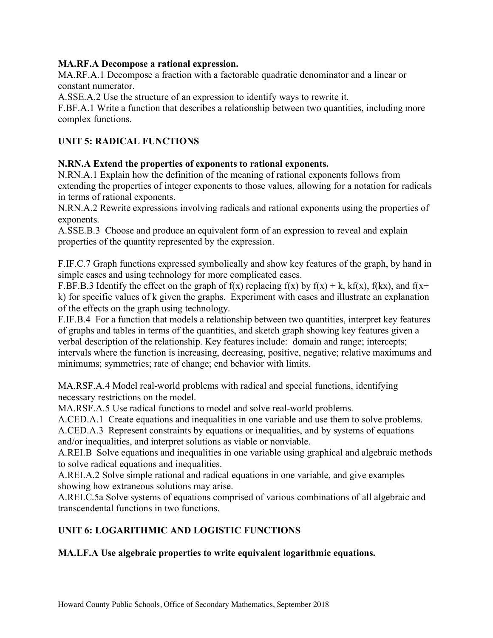# **MA.RF.A Decompose a rational expression.**

 MA.RF.A.1 Decompose a fraction with a factorable quadratic denominator and a linear or constant numerator.

A.SSE.A.2 Use the structure of an expression to identify ways to rewrite it.

 F.BF.A.1 Write a function that describes a relationship between two quantities, including more complex functions.

# **UNIT 5: RADICAL FUNCTIONS**

# **N.RN.A Extend the properties of exponents to rational exponents.**

 N.RN.A.1 Explain how the definition of the meaning of rational exponents follows from extending the properties of integer exponents to those values, allowing for a notation for radicals in terms of rational exponents.

 N.RN.A.2 Rewrite expressions involving radicals and rational exponents using the properties of exponents.

 A.SSE.B.3 Choose and produce an equivalent form of an expression to reveal and explain properties of the quantity represented by the expression.

 F.IF.C.7 Graph functions expressed symbolically and show key features of the graph, by hand in simple cases and using technology for more complicated cases.

F.BF.B.3 Identify the effect on the graph of f(x) replacing f(x) by  $f(x) + k$ ,  $kf(x)$ ,  $f(kx)$ , and  $f(x+)$  k) for specific values of k given the graphs. Experiment with cases and illustrate an explanation of the effects on the graph using technology.

 F.IF.B.4 For a function that models a relationship between two quantities, interpret key features of graphs and tables in terms of the quantities, and sketch graph showing key features given a verbal description of the relationship. Key features include: domain and range; intercepts; intervals where the function is increasing, decreasing, positive, negative; relative maximums and minimums; symmetries; rate of change; end behavior with limits.

 MA.RSF.A.4 Model real-world problems with radical and special functions, identifying necessary restrictions on the model.

MA.RSF.A.5 Use radical functions to model and solve real-world problems.

A.CED.A.1 Create equations and inequalities in one variable and use them to solve problems.

 A.CED.A.3 Represent constraints by equations or inequalities, and by systems of equations and/or inequalities, and interpret solutions as viable or nonviable.

 A.REI.B Solve equations and inequalities in one variable using graphical and algebraic methods to solve radical equations and inequalities.

 A.REI.A.2 Solve simple rational and radical equations in one variable, and give examples showing how extraneous solutions may arise.

 [A.REI.C.5a](https://A.REI.C.5a) Solve systems of equations comprised of various combinations of all algebraic and transcendental functions in two functions.

# **UNIT 6: LOGARITHMIC AND LOGISTIC FUNCTIONS**

# **MA.LF.A Use algebraic properties to write equivalent logarithmic equations.**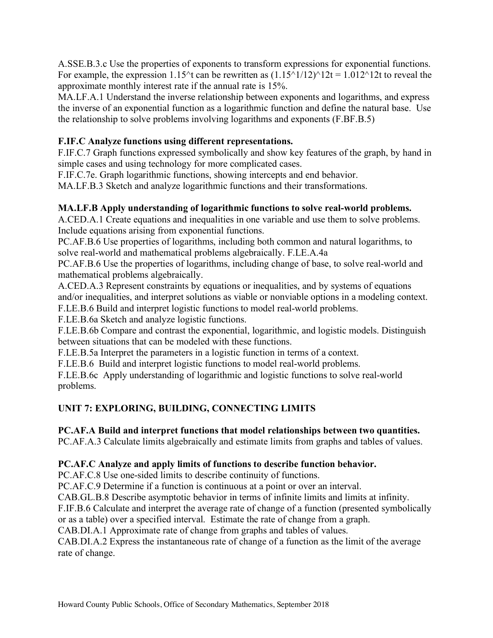A.SSE.B.3.c Use the properties of exponents to transform expressions for exponential functions. For example, the expression 1.15^t can be rewritten as  $(1.15^{\text{A}}1/12)^{\text{A}}12t = 1.012^{\text{A}}12t$  to reveal the approximate monthly interest rate if the annual rate is 15%.

 MA.LF.A.1 Understand the inverse relationship between exponents and logarithms, and express the inverse of an exponential function as a logarithmic function and define the natural base. Use the relationship to solve problems involving logarithms and exponents (F.BF.B.5)

# **F.IF.C Analyze functions using different representations.**

 F.IF.C.7 Graph functions expressed symbolically and show key features of the graph, by hand in simple cases and using technology for more complicated cases.

[F.IF.C.7e.](https://F.IF.C.7e) Graph logarithmic functions, showing intercepts and end behavior.

MA.LF.B.3 Sketch and analyze logarithmic functions and their transformations.

# **MA.LF.B Apply understanding of logarithmic functions to solve real-world problems.**

 A.CED.A.1 Create equations and inequalities in one variable and use them to solve problems. Include equations arising from exponential functions.

 PC.AF.B.6 Use properties of logarithms, including both common and natural logarithms, to solve real-world and mathematical problems algebraically. [F.LE.A.4a](https://F.LE.A.4a)

 PC.AF.B.6 Use the properties of logarithms, including change of base, to solve real-world and mathematical problems algebraically.

 A.CED.A.3 Represent constraints by equations or inequalities, and by systems of equations and/or inequalities, and interpret solutions as viable or nonviable options in a modeling context.

F.LE.B.6 Build and interpret logistic functions to model real-world problems.

[F.LE.B.6a](https://F.LE.B.6a) Sketch and analyze logistic functions.

 [F.LE.B.6b](https://F.LE.B.6b) Compare and contrast the exponential, logarithmic, and logistic models. Distinguish between situations that can be modeled with these functions.

[F.LE.B.5a](https://F.LE.B.5a) Interpret the parameters in a logistic function in terms of a context.

F.LE.B.6 Build and interpret logistic functions to model real-world problems.

 [F.LE.B.6c](https://F.LE.B.6c) Apply understanding of logarithmic and logistic functions to solve real-world problems.

# **UNIT 7: EXPLORING, BUILDING, CONNECTING LIMITS**

# **PC.AF.A Build and interpret functions that model relationships between two quantities.**

PC.AF.A.3 Calculate limits algebraically and estimate limits from graphs and tables of values.

# **PC.AF.C Analyze and apply limits of functions to describe function behavior.**

PC.AF.C.8 Use one-sided limits to describe continuity of functions.

PC.AF.C.9 Determine if a function is continuous at a point or over an interval.

CAB.GL.B.8 Describe asymptotic behavior in terms of infinite limits and limits at infinity.

 F.IF.B.6 Calculate and interpret the average rate of change of a function (presented symbolically or as a table) over a specified interval. Estimate the rate of change from a graph.

CAB.DI.A.1 Approximate rate of change from graphs and tables of values.

 CAB.DI.A.2 Express the instantaneous rate of change of a function as the limit of the average rate of change.